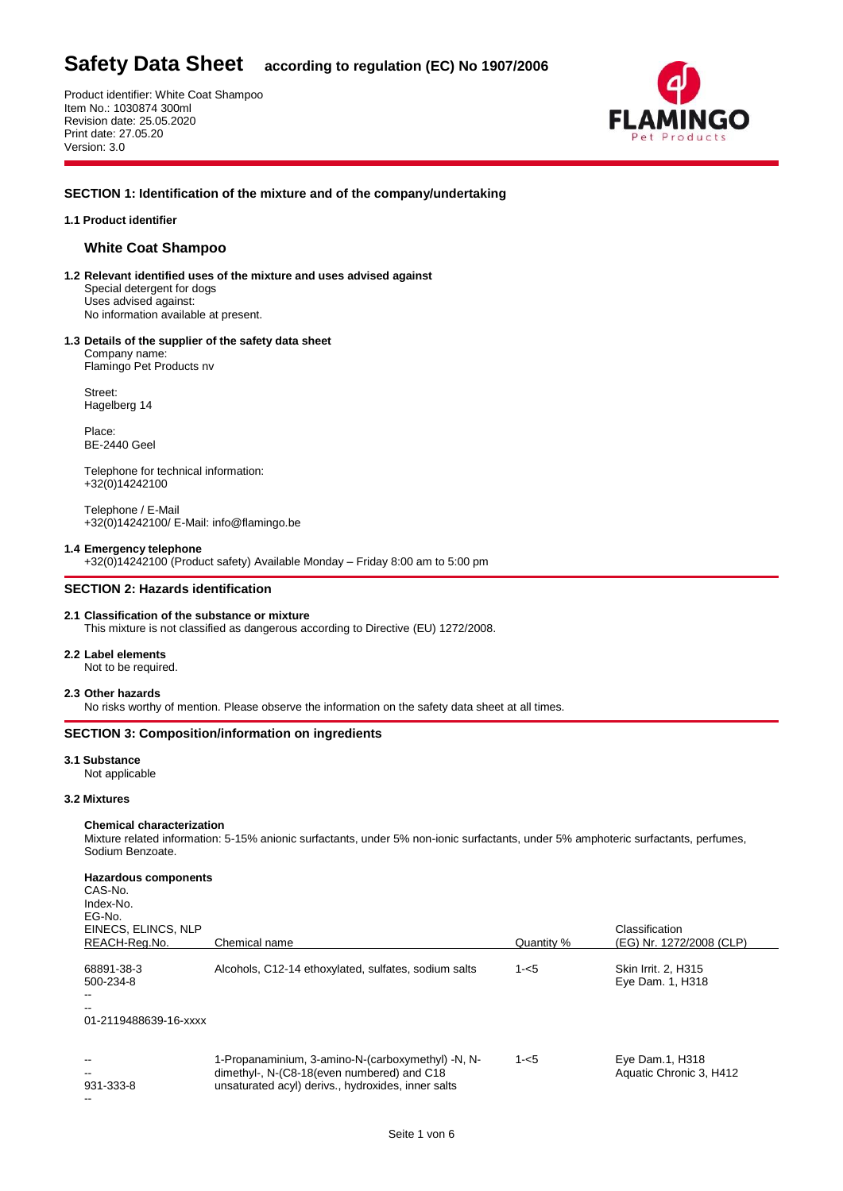Product identifier: White Coat Shampoo Item No.: 1030874 300ml Revision date: 25.05.2020 Print date: 27.05.20 Version: 3.0



# **SECTION 1: Identification of the mixture and of the company/undertaking**

# **1.1 Product identifier**

# **White Coat Shampoo**

- **1.2 Relevant identified uses of the mixture and uses advised against** Special detergent for dogs Uses advised against: No information available at present.
- **1.3 Details of the supplier of the safety data sheet**

Company name: Flamingo Pet Products nv

Street: Hagelberg 14

Place: BE-2440 Geel

Telephone for technical information: +32(0)14242100

Telephone / E-Mail +32(0)14242100/ E-Mail: info@flamingo.be

#### **1.4 Emergency telephone**

+32(0)14242100 (Product safety) Available Monday – Friday 8:00 am to 5:00 pm

# **SECTION 2: Hazards identification**

# **2.1 Classification of the substance or mixture**

This mixture is not classified as dangerous according to Directive (EU) 1272/2008.

# **2.2 Label elements**

Not to be required.

#### **2.3 Other hazards**

No risks worthy of mention. Please observe the information on the safety data sheet at all times.

# **SECTION 3: Composition/information on ingredients**

#### **3.1 Substance**

Not applicable

# **3.2 Mixtures**

# **Chemical characterization**

Mixture related information: 5-15% anionic surfactants, under 5% non-ionic surfactants, under 5% amphoteric surfactants, perfumes, Sodium Benzoate.

| Hazardous components<br>CAS-No.<br>Index-No.<br>EG-No.<br>EINECS, ELINCS, NLP<br>REACH-Rea.No. | Chemical name                                                                                                                                         | Quantity % | Classification<br>(EG) Nr. 1272/2008 (CLP) |
|------------------------------------------------------------------------------------------------|-------------------------------------------------------------------------------------------------------------------------------------------------------|------------|--------------------------------------------|
|                                                                                                |                                                                                                                                                       |            |                                            |
| 68891-38-3<br>500-234-8<br>--<br>$- -$                                                         | Alcohols, C12-14 ethoxylated, sulfates, sodium salts                                                                                                  | $1 - 5$    | Skin Irrit. 2. H315<br>Eye Dam. 1, H318    |
| 01-2119488639-16-xxxx                                                                          |                                                                                                                                                       |            |                                            |
| --<br>$\overline{\phantom{a}}$<br>931-333-8                                                    | 1-Propanaminium, 3-amino-N-(carboxymethyl) -N, N-<br>dimethyl-, N-(C8-18(even numbered) and C18<br>unsaturated acyl) derivs., hydroxides, inner salts | $1 - 5$    | Eye Dam.1, H318<br>Aquatic Chronic 3, H412 |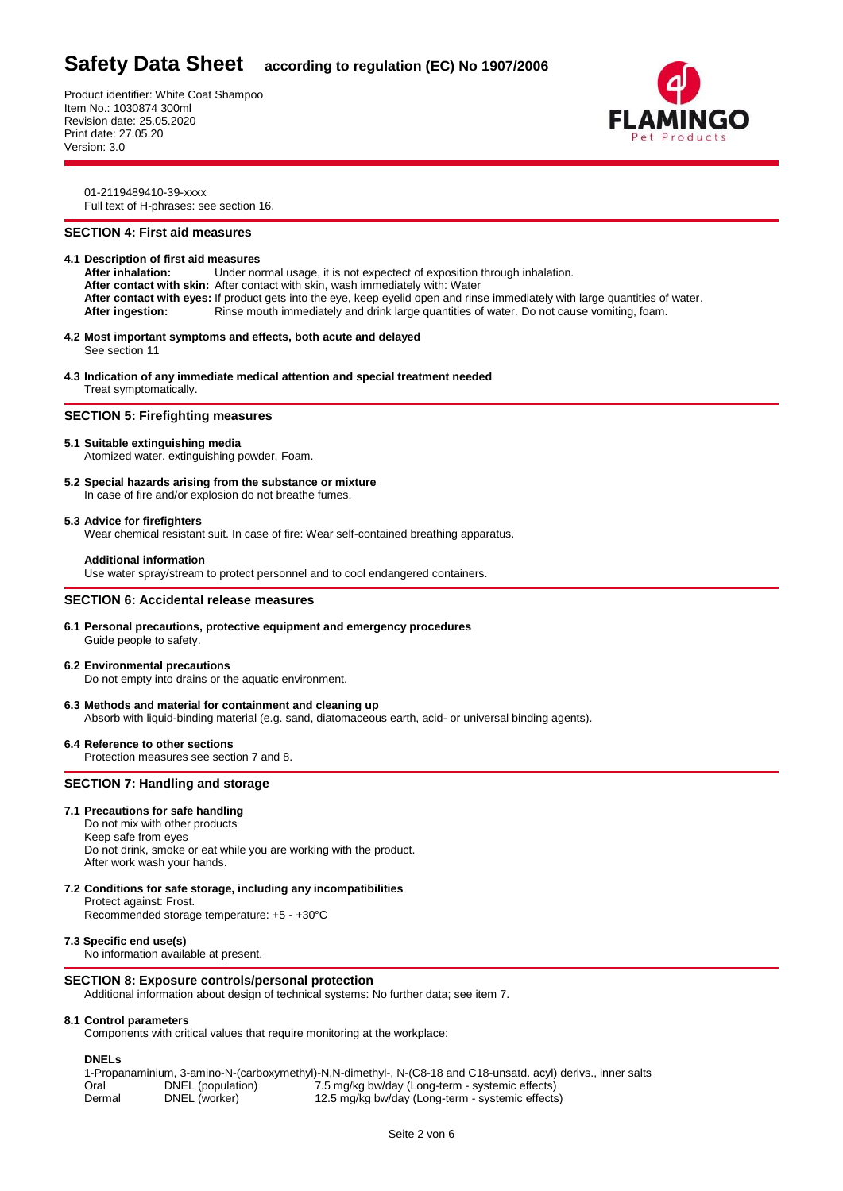Product identifier: White Coat Shampoo Item No.: 1030874 300ml Revision date: 25.05.2020 Print date: 27.05.20 Version: 3.0



01-2119489410-39-xxxx Full text of H-phrases: see section 16.

# **SECTION 4: First aid measures**

# **4.1 Description of first aid measures**

**After inhalation:** Under normal usage, it is not expectect of exposition through inhalation. **After contact with skin:** After contact with skin, wash immediately with: Water **After contact with eyes:** If product gets into the eye, keep eyelid open and rinse immediately with large quantities of water. **After ingestion:** Rinse mouth immediately and drink large quantities of water. Do not cause vomiting, foam.

- **4.2 Most important symptoms and effects, both acute and delayed** See section 11
- **4.3 Indication of any immediate medical attention and special treatment needed** Treat symptomatically.

#### **SECTION 5: Firefighting measures**

# **5.1 Suitable extinguishing media**

Atomized water. extinguishing powder, Foam.

**5.2 Special hazards arising from the substance or mixture** In case of fire and/or explosion do not breathe fumes.

#### **5.3 Advice for firefighters**

Wear chemical resistant suit. In case of fire: Wear self-contained breathing apparatus.

### **Additional information**

Use water spray/stream to protect personnel and to cool endangered containers.

# **SECTION 6: Accidental release measures**

**6.1 Personal precautions, protective equipment and emergency procedures** Guide people to safety.

# **6.2 Environmental precautions**

Do not empty into drains or the aquatic environment.

**6.3 Methods and material for containment and cleaning up**

Absorb with liquid-binding material (e.g. sand, diatomaceous earth, acid- or universal binding agents).

**6.4 Reference to other sections** Protection measures see section 7 and 8.

# **SECTION 7: Handling and storage**

# **7.1 Precautions for safe handling**

Do not mix with other products Keep safe from eyes Do not drink, smoke or eat while you are working with the product. After work wash your hands.

**7.2 Conditions for safe storage, including any incompatibilities** Protect against: Frost.

Recommended storage temperature: +5 - +30°C

# **7.3 Specific end use(s)**

No information available at present.

# **SECTION 8: Exposure controls/personal protection**

Additional information about design of technical systems: No further data; see item 7.

# **8.1 Control parameters**

Components with critical values that require monitoring at the workplace:

# **DNELs**

1-Propanaminium, 3-amino-N-(carboxymethyl)-N,N-dimethyl-, N-(C8-18 and C18-unsatd. acyl) derivs., inner salts Oral DNEL (population) 7.5 mg/kg bw/day (Long-term - systemic effects) Dermal DNEL (worker) 12.5 mg/kg bw/day (Long-term - systemic effects)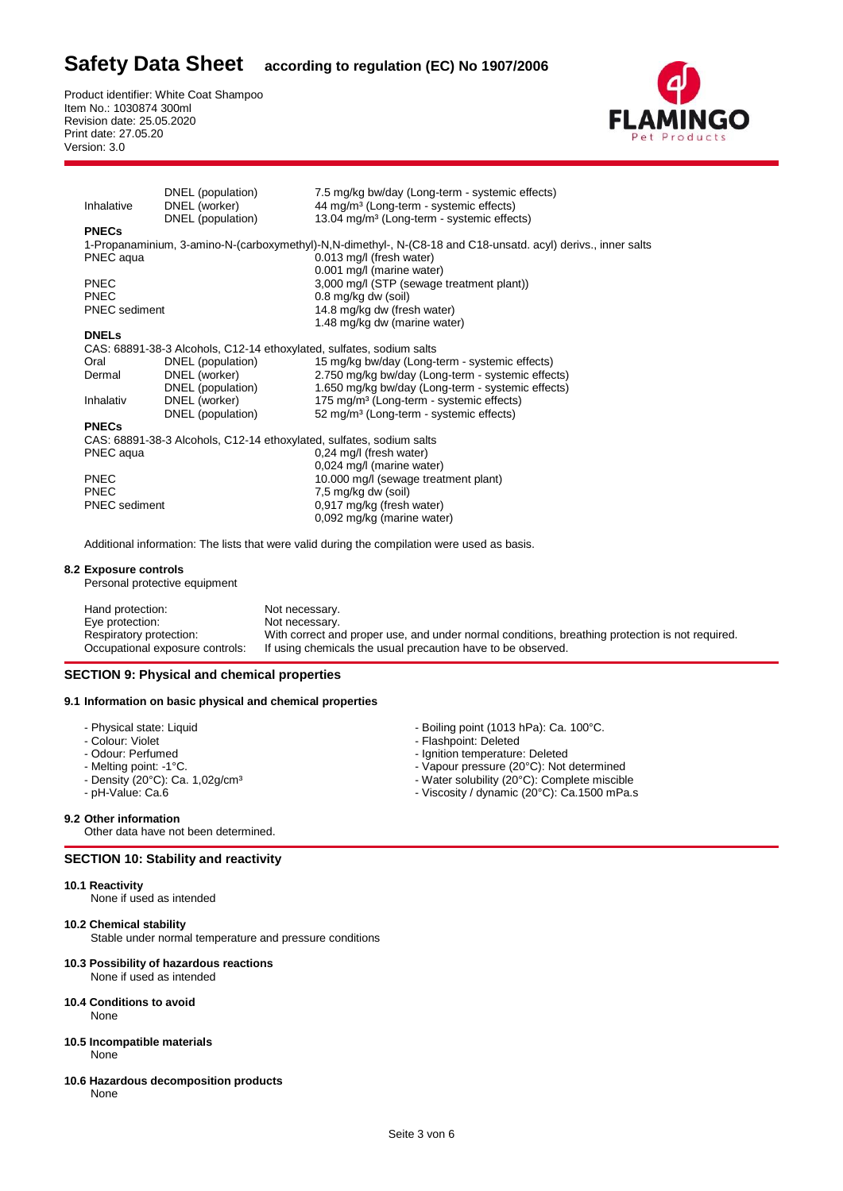Product identifier: White Coat Shampoo Item No.: 1030874 300ml Revision date: 25.05.2020 Print date: 27.05.20 Version: 3.0



| Inhalative           | DNEL (population)<br>DNEL (worker)                                   | 7.5 mg/kg bw/day (Long-term - systemic effects)<br>44 mg/m <sup>3</sup> (Long-term - systemic effects)        |
|----------------------|----------------------------------------------------------------------|---------------------------------------------------------------------------------------------------------------|
|                      | DNEL (population)                                                    | 13.04 mg/m <sup>3</sup> (Long-term - systemic effects)                                                        |
| <b>PNECs</b>         |                                                                      |                                                                                                               |
|                      |                                                                      |                                                                                                               |
|                      |                                                                      | 1-Propanaminium, 3-amino-N-(carboxymethyl)-N,N-dimethyl-, N-(C8-18 and C18-unsatd. acyl) derivs., inner salts |
| PNEC aqua            |                                                                      | $0.013$ mg/l (fresh water)                                                                                    |
|                      |                                                                      | 0.001 mg/l (marine water)                                                                                     |
| <b>PNEC</b>          |                                                                      | 3,000 mg/l (STP (sewage treatment plant))                                                                     |
| <b>PNEC</b>          |                                                                      | 0.8 mg/kg dw (soil)                                                                                           |
| <b>PNEC</b> sediment |                                                                      | 14.8 mg/kg dw (fresh water)                                                                                   |
|                      |                                                                      | 1.48 mg/kg dw (marine water)                                                                                  |
| <b>DNELS</b>         |                                                                      |                                                                                                               |
|                      | CAS: 68891-38-3 Alcohols, C12-14 ethoxylated, sulfates, sodium salts |                                                                                                               |
| Oral                 | DNEL (population)                                                    | 15 mg/kg bw/day (Long-term - systemic effects)                                                                |
| Dermal               | DNEL (worker)                                                        | 2.750 mg/kg bw/day (Long-term - systemic effects)                                                             |
|                      | DNEL (population)                                                    | 1.650 mg/kg bw/day (Long-term - systemic effects)                                                             |
| Inhalativ            | DNEL (worker)                                                        | 175 mg/m <sup>3</sup> (Long-term - systemic effects)                                                          |
|                      | DNEL (population)                                                    | 52 mg/m <sup>3</sup> (Long-term - systemic effects)                                                           |
| <b>PNECs</b>         |                                                                      |                                                                                                               |
|                      | CAS: 68891-38-3 Alcohols, C12-14 ethoxylated, sulfates, sodium salts |                                                                                                               |
| PNEC aqua            |                                                                      | 0,24 mg/l (fresh water)                                                                                       |
|                      |                                                                      | 0,024 mg/l (marine water)                                                                                     |
| <b>PNEC</b>          |                                                                      | 10.000 mg/l (sewage treatment plant)                                                                          |
| <b>PNEC</b>          |                                                                      | 7,5 mg/kg dw (soil)                                                                                           |
| <b>PNEC</b> sediment |                                                                      | 0,917 mg/kg (fresh water)                                                                                     |
|                      |                                                                      | 0,092 mg/kg (marine water)                                                                                    |
|                      |                                                                      |                                                                                                               |

Additional information: The lists that were valid during the compilation were used as basis.

#### **8.2 Exposure controls**

Personal protective equipment

| Hand protection:                | Not necessary.                                                                                  |
|---------------------------------|-------------------------------------------------------------------------------------------------|
| Eye protection:                 | Not necessary.                                                                                  |
| Respiratory protection:         | With correct and proper use, and under normal conditions, breathing protection is not required. |
| Occupational exposure controls: | If using chemicals the usual precaution have to be observed.                                    |

# **SECTION 9: Physical and chemical properties**

### **9.1 Information on basic physical and chemical properties**

- 
- 
- 
- 
- 
- 

#### **9.2 Other information**

Other data have not been determined.

# **SECTION 10: Stability and reactivity**

#### **10.1 Reactivity**

None if used as intended

# **10.2 Chemical stability**

Stable under normal temperature and pressure conditions

### **10.3 Possibility of hazardous reactions**

None if used as intended

# **10.4 Conditions to avoid**

None

- **10.5 Incompatible materials** None
- **10.6 Hazardous decomposition products** None
- Physical state: Liquid  **Boiling point (1013 hPa): Ca. 100°C.**<br>- Colour: Violet Boiling point in Belefed Boiling point in Belefed Boiling point in Belefed Boiling point in Belefed Boiling point in Belefed Bo
- Colour: Violet Flashpoint: Deleted<br>- Odour: Perfumed Flashpoint: Deleted Odour: Perfumed Flashpoint: Deleted
- Odour: Perfumed  **Ignition temperature: Deleted** Ignition temperature: Deleted<br>- Melting point: -1°C.
- Melting point: -1°C.<br>- Melting point: -1°C.<br>- Density (20°C): Ca. 1,02g/cm<sup>3</sup> Vater solubility (20°C): Complete miscibl
	-
- Density (20°C): Ca. 1,02g/cm<sup>3</sup><br>- Water solubility (20°C): Complete miscible pH-Value: Ca.6<br>- Viscosity / dynamic (20°C): Ca.1500 mPa. - Viscosity / dynamic (20°C): Ca.1500 mPa.s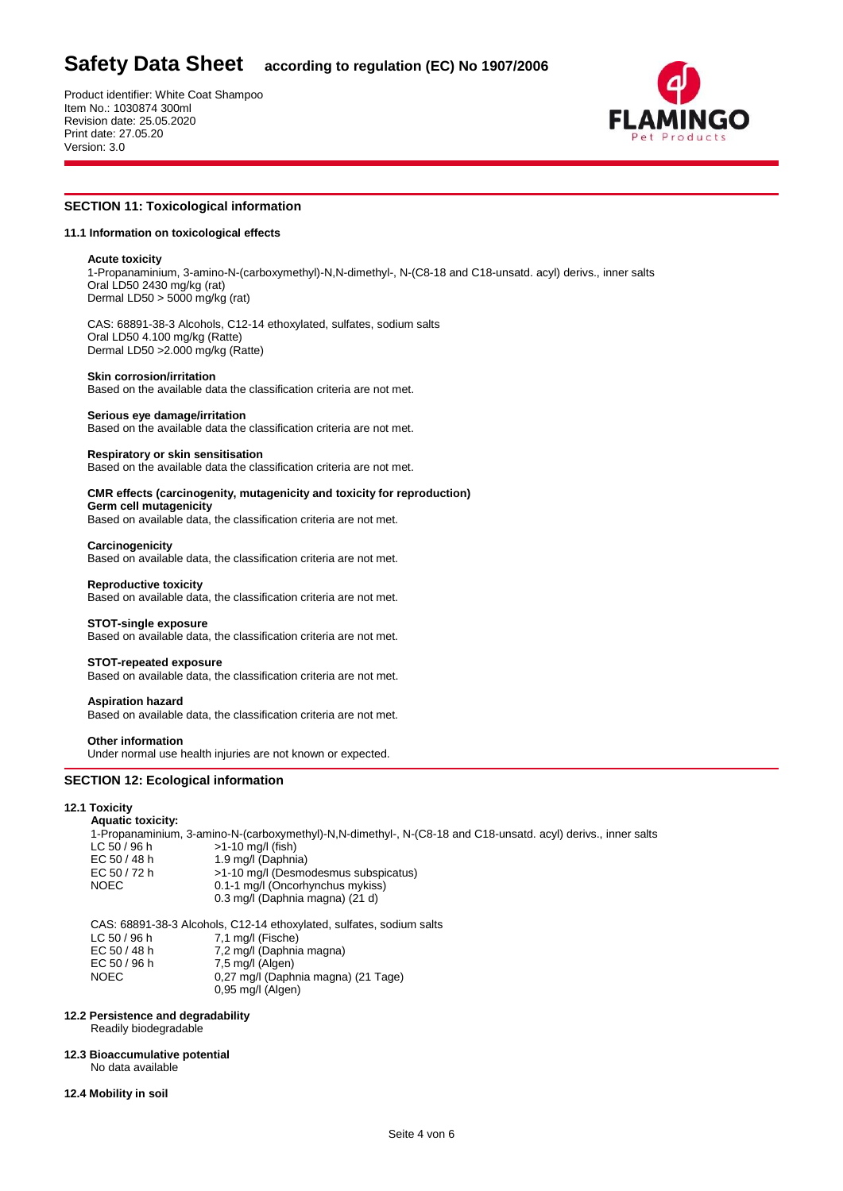Product identifier: White Coat Shampoo Item No.: 1030874 300ml Revision date: 25.05.2020 Print date: 27.05.20 Version: 3.0



# **SECTION 11: Toxicological information**

#### **11.1 Information on toxicological effects**

#### **Acute toxicity**

1-Propanaminium, 3-amino-N-(carboxymethyl)-N,N-dimethyl-, N-(C8-18 and C18-unsatd. acyl) derivs., inner salts Oral LD50 2430 mg/kg (rat) Dermal LD50 > 5000 mg/kg (rat)

CAS: 68891-38-3 Alcohols, C12-14 ethoxylated, sulfates, sodium salts Oral LD50 4.100 mg/kg (Ratte) Dermal LD50 >2.000 mg/kg (Ratte)

#### **Skin corrosion/irritation**

Based on the available data the classification criteria are not met.

#### **Serious eye damage/irritation**

Based on the available data the classification criteria are not met.

#### **Respiratory or skin sensitisation**

Based on the available data the classification criteria are not met.

# **CMR effects (carcinogenity, mutagenicity and toxicity for reproduction)**

**Germ cell mutagenicity** Based on available data, the classification criteria are not met.

#### **Carcinogenicity**

Based on available data, the classification criteria are not met.

#### **Reproductive toxicity** Based on available data, the classification criteria are not met.

**STOT-single exposure**

Based on available data, the classification criteria are not met.

#### **STOT-repeated exposure**

Based on available data, the classification criteria are not met.

#### **Aspiration hazard**

Based on available data, the classification criteria are not met.

#### **Other information**

Under normal use health injuries are not known or expected.

### **SECTION 12: Ecological information**

#### **12.1 Toxicity**

#### **Aquatic toxicity:**

|              | 1-Propanaminium, 3-amino-N-(carboxymethyl)-N,N-dimethyl-, N-(C8-18 and C18-unsatd, acyl) derivs., inner salts |
|--------------|---------------------------------------------------------------------------------------------------------------|
| LC 50/96 h   | $>1-10$ mg/l (fish)                                                                                           |
| EC 50 / 48 h | 1.9 mg/l (Daphnia)                                                                                            |
| EC 50 / 72 h | >1-10 mg/l (Desmodesmus subspicatus)                                                                          |
| <b>NOEC</b>  | 0.1-1 mg/l (Oncorhynchus mykiss)                                                                              |
|              | 0.3 mg/l (Daphnia magna) (21 d)                                                                               |
|              |                                                                                                               |
|              | CAS: 68891-38-3 Alcohols, C12-14 ethoxylated, sulfates, sodium salts                                          |

LC 50 / 96 h 7,1 mg/l (Fische)<br>EC 50 / 48 h 7.2 mg/l (Daphnia 7,2 mg/l (Daphnia magna) EC 50 / 96 h 7,5 mg/l (Algen) NOEC 0,27 mg/l (Daphnia magna) (21 Tage) 0,95 mg/l (Algen)

# **12.2 Persistence and degradability**

Readily biodegradable

#### **12.3 Bioaccumulative potential**

No data available

# **12.4 Mobility in soil**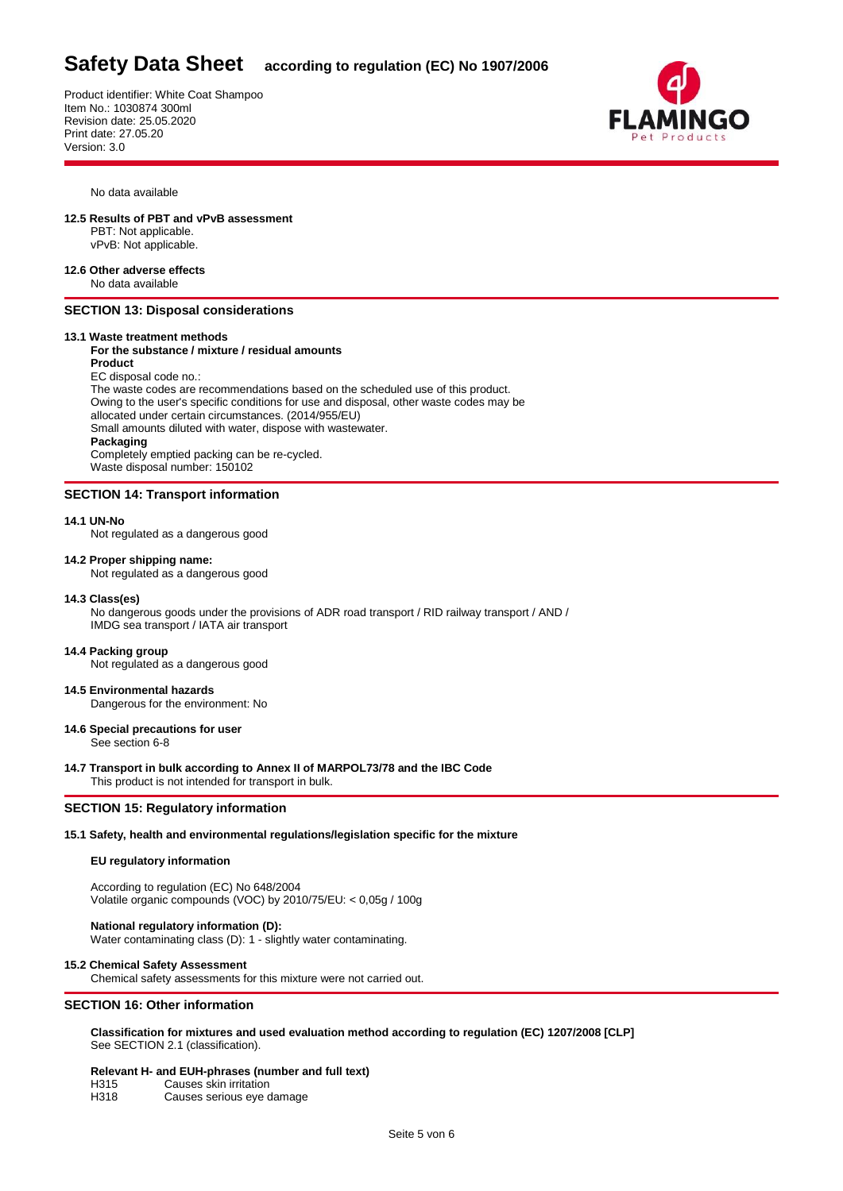Product identifier: White Coat Shampoo Item No.: 1030874 300ml Revision date: 25.05.2020 Print date: 27.05.20 Version: 3.0



No data available

#### **12.5 Results of PBT and vPvB assessment**

 PBT: Not applicable. vPvB: Not applicable.

**12.6 Other adverse effects** No data available

# **SECTION 13: Disposal considerations**

# **13.1 Waste treatment methods**

#### **For the substance / mixture / residual amounts Product**

EC disposal code no.:

 The waste codes are recommendations based on the scheduled use of this product. Owing to the user's specific conditions for use and disposal, other waste codes may be allocated under certain circumstances. (2014/955/EU) Small amounts diluted with water, dispose with wastewater. **Packaging** Completely emptied packing can be re-cycled. Waste disposal number: 150102

# **SECTION 14: Transport information**

#### **14.1 UN-No**

Not regulated as a dangerous good

# **14.2 Proper shipping name:**

Not regulated as a dangerous good

#### **14.3 Class(es)**

No dangerous goods under the provisions of ADR road transport / RID railway transport / AND / IMDG sea transport / IATA air transport

# **14.4 Packing group**

Not regulated as a dangerous good

#### **14.5 Environmental hazards** Dangerous for the environment: No

**14.6 Special precautions for user**

See section 6-8

**14.7 Transport in bulk according to Annex II of MARPOL73/78 and the IBC Code** This product is not intended for transport in bulk.

# **SECTION 15: Regulatory information**

# **15.1 Safety, health and environmental regulations/legislation specific for the mixture**

# **EU regulatory information**

According to regulation (EC) No 648/2004 Volatile organic compounds (VOC) by 2010/75/EU: < 0,05g / 100g

# **National regulatory information (D):**

Water contaminating class (D): 1 - slightly water contaminating.

#### **15.2 Chemical Safety Assessment**

Chemical safety assessments for this mixture were not carried out.

# **SECTION 16: Other information**

**Classification for mixtures and used evaluation method according to regulation (EC) 1207/2008 [CLP]** See SECTION 2.1 (classification).

#### **Relevant H- and EUH-phrases (number and full text)**

| H315 | Causes skin irritation    |
|------|---------------------------|
| H318 | Causes serious eye damage |